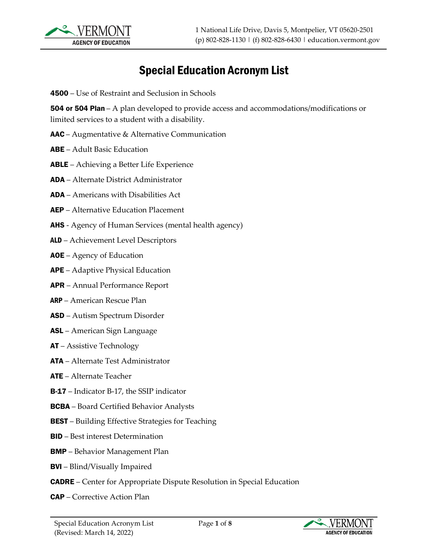

## Special Education Acronym List

4500 – Use of Restraint and Seclusion in Schools

**504 or 504 Plan** – A plan developed to provide access and accommodations/modifications or limited services to a student with a disability.

- AAC Augmentative & Alternative Communication
- ABE Adult Basic Education
- ABLE Achieving a Better Life Experience
- ADA Alternate District Administrator
- ADA Americans with Disabilities Act
- AEP Alternative Education Placement
- **AHS** Agency of Human Services (mental health agency)
- ALD Achievement Level Descriptors
- AOE Agency of Education
- APE Adaptive Physical Education
- APR Annual Performance Report
- ARP American Rescue Plan
- ASD Autism Spectrum Disorder
- ASL American Sign Language
- AT Assistive Technology
- ATA Alternate Test Administrator
- ATE Alternate Teacher
- B-17 Indicator B-17, the SSIP indicator
- BCBA Board Certified Behavior Analysts
- **BEST** Building Effective Strategies for Teaching
- BID Best interest Determination
- BMP Behavior Management Plan
- BVI Blind/Visually Impaired
- CADRE Center for Appropriate Dispute Resolution in Special Education
- CAP Corrective Action Plan

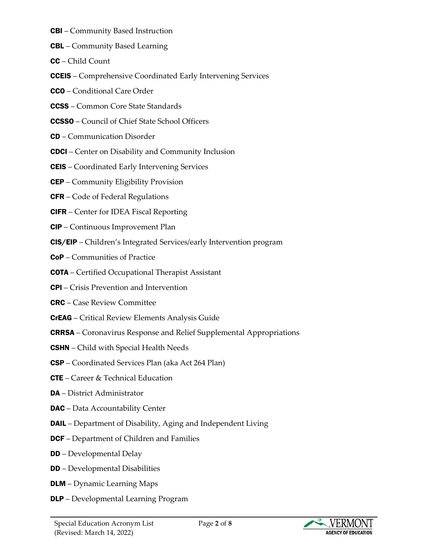- CBI Community Based Instruction
- CBL Community Based Learning
- CC Child Count
- CCEIS Comprehensive Coordinated Early Intervening Services
- CCO Conditional Care Order
- CCSS Common Core State Standards
- CCSSO Council of Chief State School Officers
- CD Communication Disorder
- CDCI Center on Disability and Community Inclusion
- CEIS Coordinated Early Intervening Services
- CEP Community Eligibility Provision
- CFR Code of Federal Regulations
- CIFR Center for IDEA Fiscal Reporting
- CIP Continuous Improvement Plan
- CIS/EIP Children's Integrated Services/early Intervention program
- CoP Communities of Practice
- COTA Certified Occupational Therapist Assistant
- CPI Crisis Prevention and Intervention
- CRC Case Review Committee
- CrEAG Critical Review Elements Analysis Guide
- CRRSA Coronavirus Response and Relief Supplemental Appropriations
- CSHN Child with Special Health Needs
- CSP Coordinated Services Plan (aka Act 264 Plan)
- CTE Career & Technical Education
- DA District Administrator
- DAC Data Accountability Center
- **DAIL** Department of Disability, Aging and Independent Living
- **DCF** Department of Children and Families
- DD Developmental Delay
- DD Developmental Disabilities
- DLM Dynamic Learning Maps
- DLP Developmental Learning Program

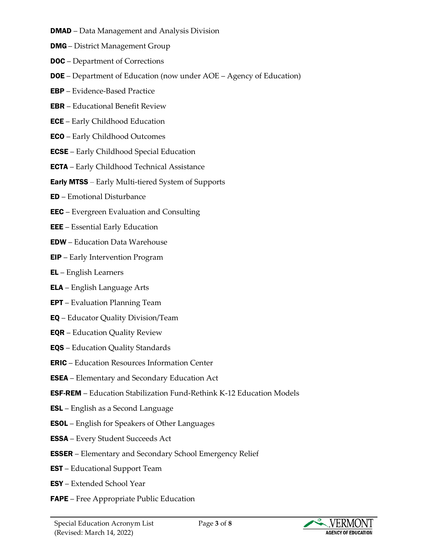- **DMAD** Data Management and Analysis Division
- DMG District Management Group
- DOC Department of Corrections
- DOE Department of Education (now under AOE Agency of Education)
- EBP Evidence-Based Practice
- EBR Educational Benefit Review
- **ECE** Early Childhood Education
- ECO Early Childhood Outcomes
- ECSE Early Childhood Special Education
- **ECTA** Early Childhood Technical Assistance
- Early MTSS Early Multi-tiered System of Supports
- ED Emotional Disturbance
- EEC Evergreen Evaluation and Consulting
- EEE Essential Early Education
- EDW Education Data Warehouse
- EIP Early Intervention Program
- EL English Learners
- ELA English Language Arts
- **EPT** Evaluation Planning Team
- EQ Educator Quality Division/Team
- EQR Education Quality Review
- EQS Education Quality Standards
- ERIC Education Resources Information Center
- ESEA Elementary and Secondary Education Act
- ESF-REM Education Stabilization Fund-Rethink K-12 Education Models
- ESL English as a Second Language
- ESOL English for Speakers of Other Languages
- ESSA Every Student Succeeds Act
- ESSER Elementary and Secondary School Emergency Relief
- EST Educational Support Team
- ESY Extended School Year
- **FAPE** Free Appropriate Public Education

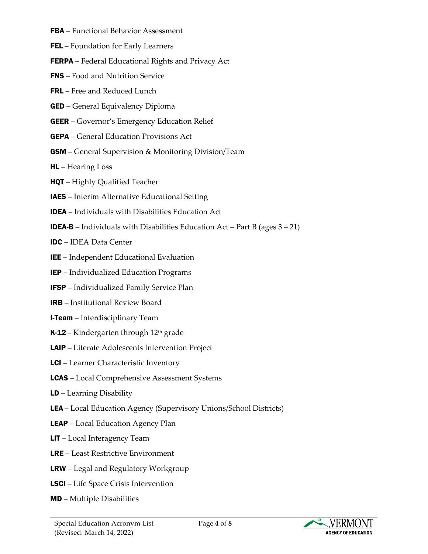- FBA Functional Behavior Assessment
- FEL Foundation for Early Learners
- FERPA Federal Educational Rights and Privacy Act
- FNS Food and Nutrition Service
- FRL Free and Reduced Lunch
- GED General Equivalency Diploma
- GEER Governor's Emergency Education Relief
- GEPA General Education Provisions Act
- GSM General Supervision & Monitoring Division/Team
- HL Hearing Loss
- HQT Highly Qualified Teacher
- IAES Interim Alternative Educational Setting
- IDEA Individuals with Disabilities Education Act
- **IDEA-B** Individuals with Disabilities Education Act Part B (ages  $3 21$ )
- IDC IDEA Data Center
- IEE Independent Educational Evaluation
- IEP Individualized Education Programs
- IFSP Individualized Family Service Plan
- IRB Institutional Review Board
- **I-Team** Interdisciplinary Team
- **K-12** Kindergarten through  $12<sup>th</sup>$  grade
- LAIP Literate Adolescents Intervention Project
- **LCI** Learner Characteristic Inventory
- LCAS Local Comprehensive Assessment Systems
- LD Learning Disability
- LEA Local Education Agency (Supervisory Unions/School Districts)
- **LEAP** Local Education Agency Plan
- LIT Local Interagency Team
- LRE Least Restrictive Environment
- LRW Legal and Regulatory Workgroup
- LSCI Life Space Crisis Intervention
- MD Multiple Disabilities

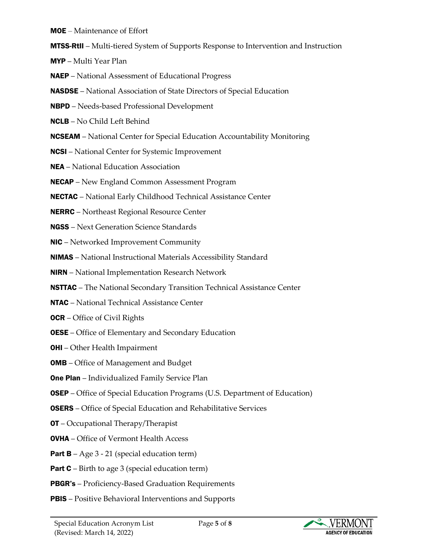MOE – Maintenance of Effort

MTSS-RtII – Multi-tiered System of Supports Response to Intervention and Instruction

MYP – Multi Year Plan

NAEP – National Assessment of Educational Progress

NASDSE – National Association of State Directors of Special Education

- NBPD Needs-based Professional Development
- NCLB No Child Left Behind
- **NCSEAM** National Center for Special Education Accountability Monitoring
- NCSI National Center for Systemic Improvement
- NEA National Education Association

NECAP – New England Common Assessment Program

NECTAC – National Early Childhood Technical Assistance Center

- NERRC Northeast Regional Resource Center
- NGSS Next Generation Science Standards
- NIC Networked Improvement Community
- NIMAS National Instructional Materials Accessibility Standard
- NIRN National Implementation Research Network
- NSTTAC The National Secondary Transition Technical Assistance Center
- NTAC National Technical Assistance Center

**OCR** – Office of Civil Rights

- **OESE** Office of Elementary and Secondary Education
- OHI Other Health Impairment
- **OMB** Office of Management and Budget
- **One Plan** Individualized Family Service Plan
- OSEP Office of Special Education Programs (U.S. Department of Education)
- OSERS Office of Special Education and Rehabilitative Services
- OT Occupational Therapy/Therapist
- OVHA Office of Vermont Health Access
- Part B Age 3 21 (special education term)
- **Part C** Birth to age 3 (special education term)
- PBGR's Proficiency-Based Graduation Requirements
- **PBIS** Positive Behavioral Interventions and Supports

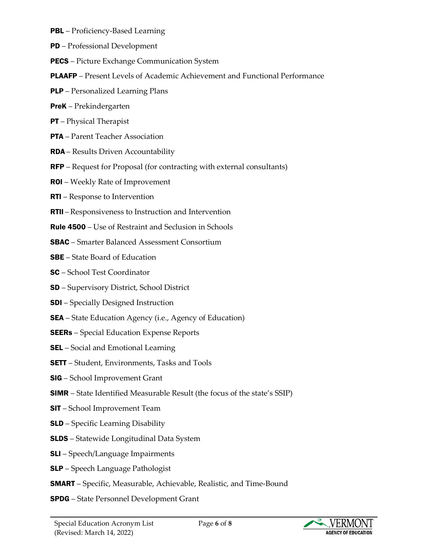- PBL Proficiency-Based Learning
- PD Professional Development
- **PECS** Picture Exchange Communication System
- PLAAFP Present Levels of Academic Achievement and Functional Performance
- PLP Personalized Learning Plans
- PreK Prekindergarten
- PT Physical Therapist
- PTA Parent Teacher Association
- RDA Results Driven Accountability
- RFP Request for Proposal (for contracting with external consultants)
- ROI Weekly Rate of Improvement
- RTI Response to Intervention
- RTII Responsiveness to Instruction and Intervention
- Rule 4500 Use of Restraint and Seclusion in Schools
- SBAC Smarter Balanced Assessment Consortium
- SBE State Board of Education
- SC School Test Coordinator
- SD Supervisory District, School District
- **SDI** Specially Designed Instruction
- **SEA** State Education Agency (i.e., Agency of Education)
- **SEERs** Special Education Expense Reports
- **SEL** Social and Emotional Learning
- **SETT** Student, Environments, Tasks and Tools
- SIG School Improvement Grant
- SIMR State Identified Measurable Result (the focus of the state's SSIP)
- SIT School Improvement Team
- SLD Specific Learning Disability
- SLDS Statewide Longitudinal Data System
- SLI Speech/Language Impairments
- SLP Speech Language Pathologist
- SMART Specific, Measurable, Achievable, Realistic, and Time-Bound
- SPDG State Personnel Development Grant

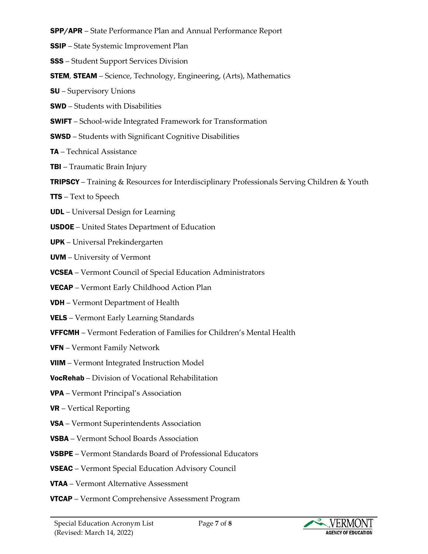- SPP/APR State Performance Plan and Annual Performance Report
- SSIP State Systemic Improvement Plan
- SSS Student Support Services Division
- STEM, STEAM Science, Technology, Engineering, (Arts), Mathematics
- SU Supervisory Unions
- SWD Students with Disabilities
- SWIFT School-wide Integrated Framework for Transformation
- SWSD Students with Significant Cognitive Disabilities
- TA Technical Assistance
- **TBI** Traumatic Brain Injury
- TRIPSCY Training & Resources for Interdisciplinary Professionals Serving Children & Youth
- TTS Text to Speech
- UDL Universal Design for Learning
- USDOE United States Department of Education
- UPK Universal Prekindergarten
- UVM University of Vermont
- VCSEA Vermont Council of Special Education Administrators
- VECAP Vermont Early Childhood Action Plan
- **VDH** Vermont Department of Health
- VELS Vermont Early Learning Standards
- VFFCMH Vermont Federation of Families for Children's Mental Health
- VFN Vermont Family Network
- VIIM Vermont Integrated Instruction Model
- VocRehab Division of Vocational Rehabilitation
- VPA Vermont Principal's Association
- VR Vertical Reporting
- VSA Vermont Superintendents Association
- VSBA Vermont School Boards Association
- VSBPE Vermont Standards Board of Professional Educators
- VSEAC Vermont Special Education Advisory Council
- VTAA Vermont Alternative Assessment
- VTCAP Vermont Comprehensive Assessment Program